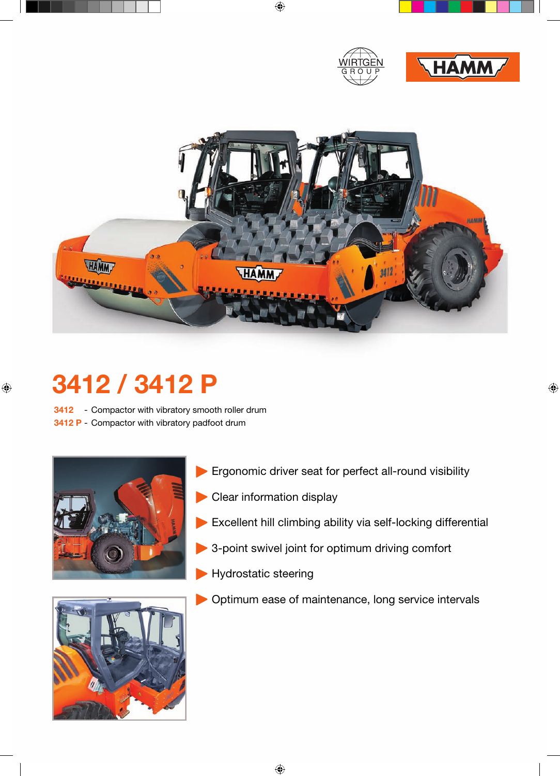



## **3412 / 3412 P**

**3412** - Compactor with vibratory smooth roller drum





- Ergonomic driver seat for perfect all-round visibility
- Clear information display
- Excellent hill climbing ability via self-locking differential
- 3-point swivel joint for optimum driving comfort
- **Hydrostatic steering**
- Optimum ease of maintenance, long service intervals